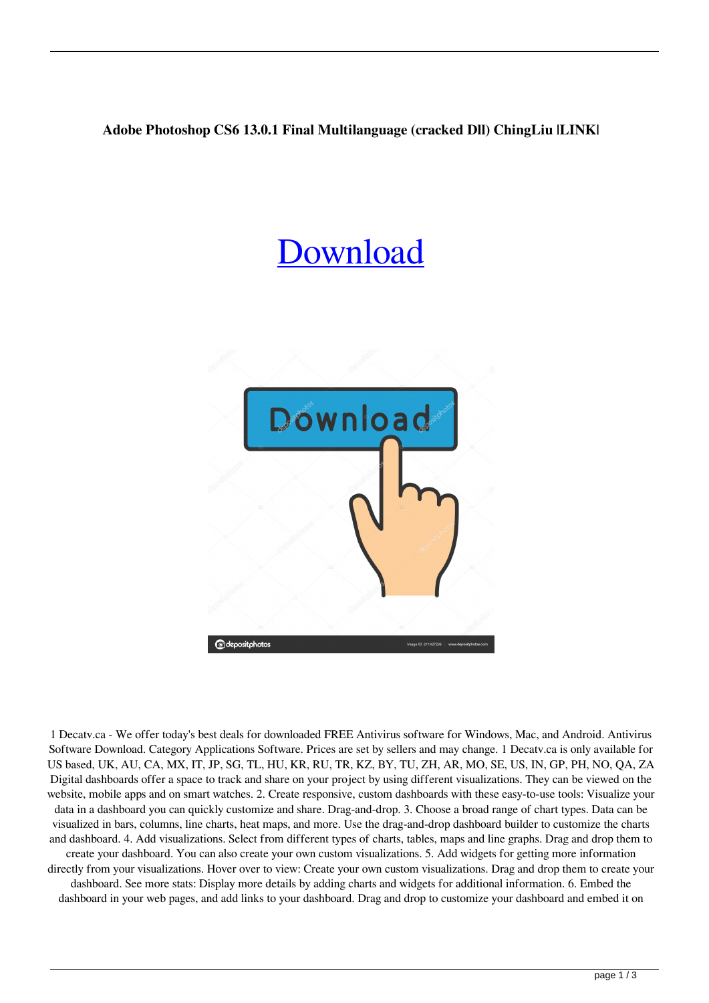## **Adobe Photoshop CS6 13.0.1 Final Multilanguage (cracked Dll) ChingLiu |LINK|**

## **[Download](https://tinurll.com/2kynt8)**



1 Decatv.ca - We offer today's best deals for downloaded FREE Antivirus software for Windows, Mac, and Android. Antivirus Software Download. Category Applications Software. Prices are set by sellers and may change. 1 Decatv.ca is only available for US based, UK, AU, CA, MX, IT, JP, SG, TL, HU, KR, RU, TR, KZ, BY, TU, ZH, AR, MO, SE, US, IN, GP, PH, NO, QA, ZA Digital dashboards offer a space to track and share on your project by using different visualizations. They can be viewed on the website, mobile apps and on smart watches. 2. Create responsive, custom dashboards with these easy-to-use tools: Visualize your data in a dashboard you can quickly customize and share. Drag-and-drop. 3. Choose a broad range of chart types. Data can be visualized in bars, columns, line charts, heat maps, and more. Use the drag-and-drop dashboard builder to customize the charts and dashboard. 4. Add visualizations. Select from different types of charts, tables, maps and line graphs. Drag and drop them to create your dashboard. You can also create your own custom visualizations. 5. Add widgets for getting more information directly from your visualizations. Hover over to view: Create your own custom visualizations. Drag and drop them to create your dashboard. See more stats: Display more details by adding charts and widgets for additional information. 6. Embed the dashboard in your web pages, and add links to your dashboard. Drag and drop to customize your dashboard and embed it on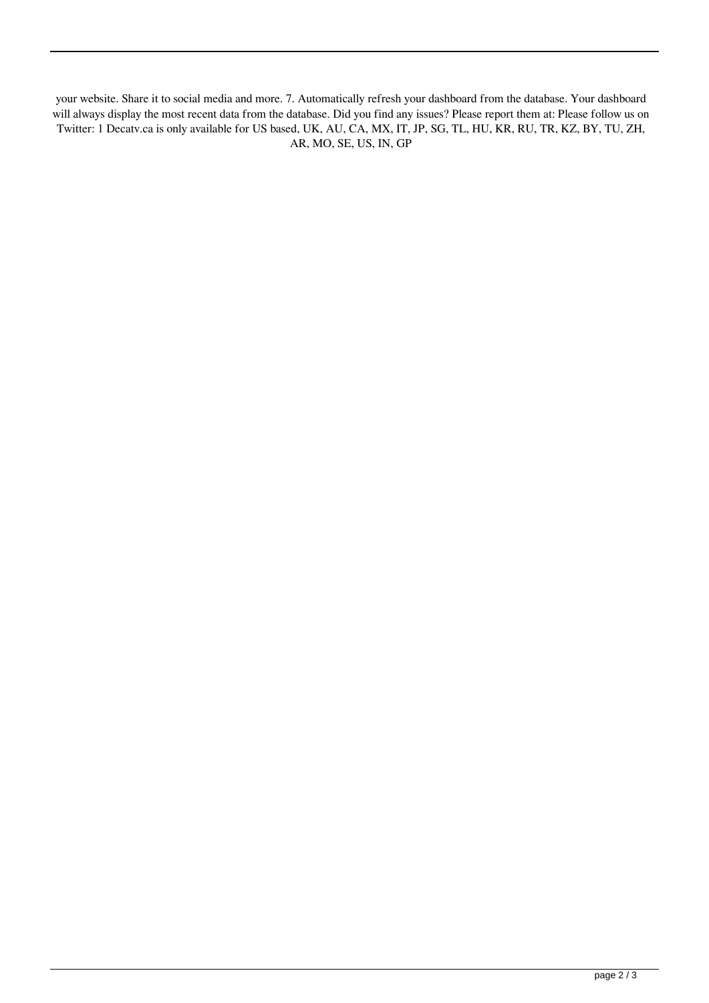your website. Share it to social media and more. 7. Automatically refresh your dashboard from the database. Your dashboard will always display the most recent data from the database. Did you find any issues? Please report them at: Please follow us on Twitter: 1 Decatv.ca is only available for US based, UK, AU, CA, MX, IT, JP, SG, TL, HU, KR, RU, TR, KZ, BY, TU, ZH, AR, MO, SE, US, IN, GP